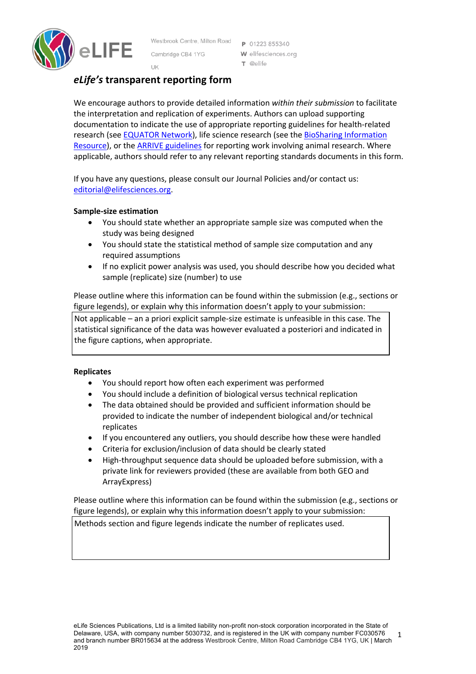

Westbrook Centre, Milton Road P 01223 855340 Cambridge CB4 1YG UK

W elifesciences.org T @elife

# *eLife's* **transparent reporting form**

We encourage authors to provide detailed information *within their submission* to facilitate the interpretation and replication of experiments. Authors can upload supporting documentation to indicate the use of appropriate reporting guidelines for health-related research (see EQUATOR Network), life science research (see the BioSharing Information Resource), or the ARRIVE guidelines for reporting work involving animal research. Where applicable, authors should refer to any relevant reporting standards documents in this form.

If you have any questions, please consult our Journal Policies and/or contact us: editorial@elifesciences.org.

## **Sample-size estimation**

- You should state whether an appropriate sample size was computed when the study was being designed
- You should state the statistical method of sample size computation and any required assumptions
- If no explicit power analysis was used, you should describe how you decided what sample (replicate) size (number) to use

Please outline where this information can be found within the submission (e.g., sections or figure legends), or explain why this information doesn't apply to your submission:

Not applicable – an a priori explicit sample-size estimate is unfeasible in this case. The statistical significance of the data was however evaluated a posteriori and indicated in the figure captions, when appropriate.

## **Replicates**

- You should report how often each experiment was performed
- You should include a definition of biological versus technical replication
- The data obtained should be provided and sufficient information should be provided to indicate the number of independent biological and/or technical replicates
- If you encountered any outliers, you should describe how these were handled
- Criteria for exclusion/inclusion of data should be clearly stated
- High-throughput sequence data should be uploaded before submission, with a private link for reviewers provided (these are available from both GEO and ArrayExpress)

Please outline where this information can be found within the submission (e.g., sections or figure legends), or explain why this information doesn't apply to your submission:

Methods section and figure legends indicate the number of replicates used.